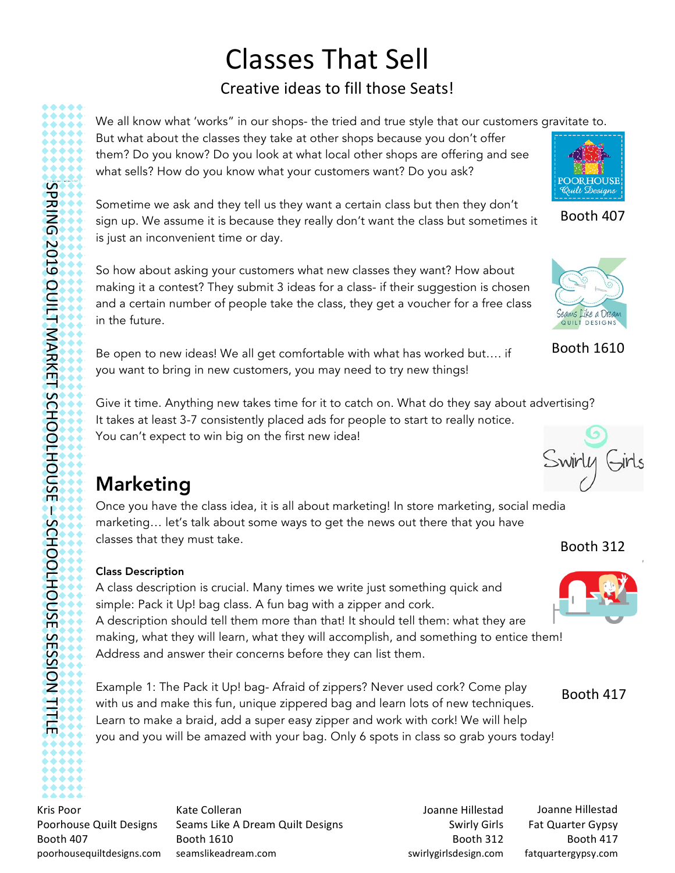## **Classes That Sell** Creative ideas to fill those Seats!

We all know what 'works" in our shops- the tried and true style that our customers gravitate to.

But what about the classes they take at other shops because you don't offer them? Do you know? Do you look at what local other shops are offering and see what sells? How do you know what your customers want? Do you ask?

Sometime we ask and they tell us they want a certain class but then they don't sign up. We assume it is because they really don't want the class but sometimes it is just an inconvenient time or day.

So how about asking your customers what new classes they want? How about making it a contest? They submit 3 ideas for a class- if their suggestion is chosen and a certain number of people take the class, they get a voucher for a free class in the future.

Be open to new ideas! We all get comfortable with what has worked but…. if you want to bring in new customers, you may need to try new things!

Give it time. Anything new takes time for it to catch on. What do they say about advertising? It takes at least 3-7 consistently placed ads for people to start to really notice. You can't expect to win big on the first new idea!

## Marketing

Once you have the class idea, it is all about marketing! In store marketing, social media marketing… let's talk about some ways to get the news out there that you have classes that they must take.

### Class Description

A class description is crucial. Many times we write just something quick and simple: Pack it Up! bag class. A fun bag with a zipper and cork. A description should tell them more than that! It should tell them: what they are making, what they will learn, what they will accomplish, and something to entice them! Address and answer their concerns before they can list them.

Example 1: The Pack it Up! bag- Afraid of zippers? Never used cork? Come play with us and make this fun, unique zippered bag and learn lots of new techniques. Learn to make a braid, add a super easy zipper and work with cork! We will help you and you will be amazed with your bag. Only 6 spots in class so grab yours today!

Kris Poor Poorhouse Quilt Designs Booth 407 poorhousequiltdesigns.com

Kate Colleran Seams Like A Dream Quilt Designs Booth 1610 seamslikeadream.com

Joanne Hillestad Swirly Girls Booth 312 swirlygirlsdesign.com

Joanne Hillestad Fat Quarter Gypsy Booth 417 fatquartergypsy.com



SPRING 2019 QUILT MARKET SCHOOLHOUSE 

SPRING 2019 QUILT MARKET SCHOOLHOUSE - SCHOOLHOUSE SESSION TITLE

SCHOOLHOUSE<br>SCHOOLHOUSE<br>SESSION



Booth 407



Booth 1610





Booth 312



Booth 417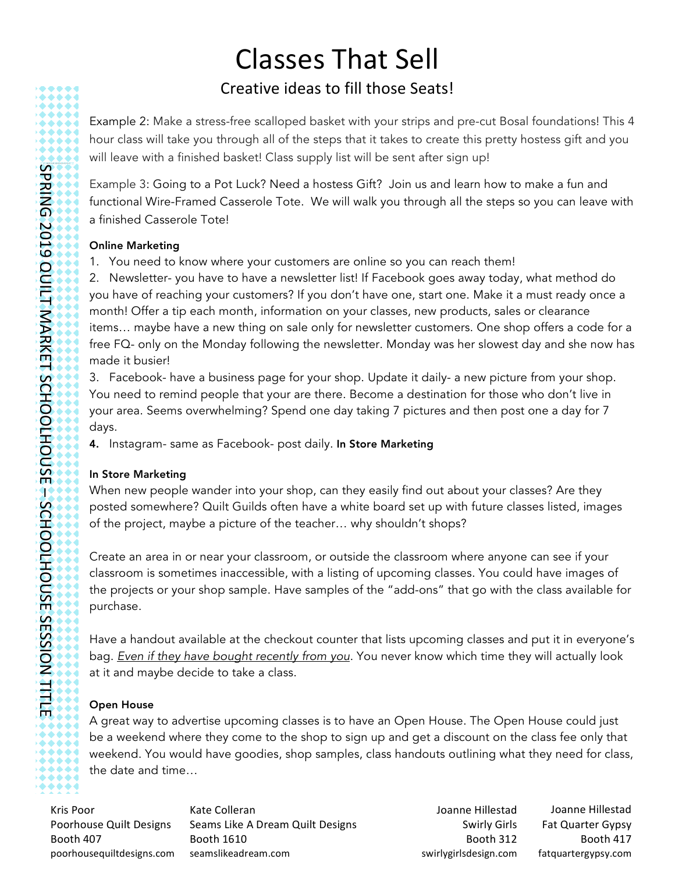# Classes That Sell

### Creative ideas to fill those Seats!

Example 2: Make a stress-free scalloped basket with your strips and pre-cut Bosal foundations! This 4 hour class will take you through all of the steps that it takes to create this pretty hostess gift and you will leave with a finished basket! Class supply list will be sent after sign up!

Example 3: Going to a Pot Luck? Need a hostess Gift? Join us and learn how to make a fun and functional Wire-Framed Casserole Tote. We will walk you through all the steps so you can leave with a finished Casserole Tote!

#### Online Marketing

1. You need to know where your customers are online so you can reach them!

2. Newsletter- you have to have a newsletter list! If Facebook goes away today, what method do you have of reaching your customers? If you don't have one, start one. Make it a must ready once a month! Offer a tip each month, information on your classes, new products, sales or clearance items… maybe have a new thing on sale only for newsletter customers. One shop offers a code for a free FQ- only on the Monday following the newsletter. Monday was her slowest day and she now has made it busier!

3. Facebook- have a business page for your shop. Update it daily- a new picture from your shop. You need to remind people that your are there. Become a destination for those who don't live in your area. Seems overwhelming? Spend one day taking 7 pictures and then post one a day for 7 days.

4. Instagram- same as Facebook- post daily. In Store Marketing

#### In Store Marketing

When new people wander into your shop, can they easily find out about your classes? Are they posted somewhere? Quilt Guilds often have a white board set up with future classes listed, images of the project, maybe a picture of the teacher… why shouldn't shops?

Create an area in or near your classroom, or outside the classroom where anyone can see if your classroom is sometimes inaccessible, with a listing of upcoming classes. You could have images of the projects or your shop sample. Have samples of the "add-ons" that go with the class available for purchase.

Have a handout available at the checkout counter that lists upcoming classes and put it in everyone's bag. *Even if they have bought recently from you*. You never know which time they will actually look at it and maybe decide to take a class.

#### Open House

A great way to advertise upcoming classes is to have an Open House. The Open House could just be a weekend where they come to the shop to sign up and get a discount on the class fee only that weekend. You would have goodies, shop samples, class handouts outlining what they need for class, the date and time…

Kris Poor Poorhouse Quilt Designs Booth 407 poorhousequiltdesigns.com

Kate Colleran Seams Like A Dream Quilt Designs Booth 1610 seamslikeadream.com

Joanne Hillestad Swirly Girls Booth 312 swirlygirlsdesign.com

Joanne Hillestad Fat Quarter Gypsy Booth 417 fatquartergypsy.com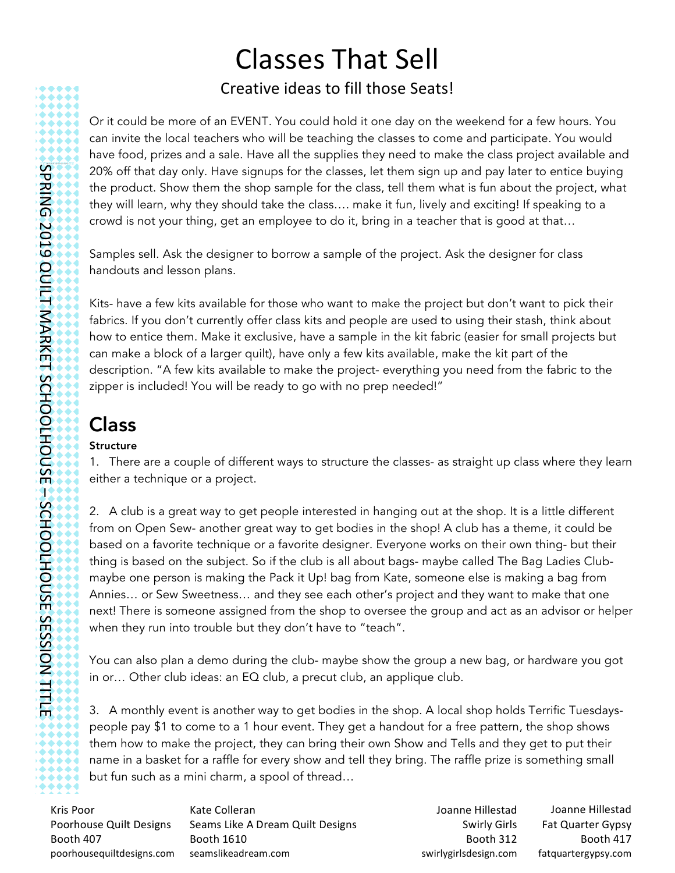# Classes That Sell

### Creative ideas to fill those Seats!

Or it could be more of an EVENT. You could hold it one day on the weekend for a few hours. You can invite the local teachers who will be teaching the classes to come and participate. You would have food, prizes and a sale. Have all the supplies they need to make the class project available and 20% off that day only. Have signups for the classes, let them sign up and pay later to entice buying the product. Show them the shop sample for the class, tell them what is fun about the project, what they will learn, why they should take the class…. make it fun, lively and exciting! If speaking to a crowd is not your thing, get an employee to do it, bring in a teacher that is good at that…

Samples sell. Ask the designer to borrow a sample of the project. Ask the designer for class handouts and lesson plans.

Kits- have a few kits available for those who want to make the project but don't want to pick their fabrics. If you don't currently offer class kits and people are used to using their stash, think about how to entice them. Make it exclusive, have a sample in the kit fabric (easier for small projects but can make a block of a larger quilt), have only a few kits available, make the kit part of the description. "A few kits available to make the project- everything you need from the fabric to the zipper is included! You will be ready to go with no prep needed!"

## Class

#### Structure

1. There are a couple of different ways to structure the classes- as straight up class where they learn either a technique or a project.

2. A club is a great way to get people interested in hanging out at the shop. It is a little different from on Open Sew- another great way to get bodies in the shop! A club has a theme, it could be based on a favorite technique or a favorite designer. Everyone works on their own thing- but their thing is based on the subject. So if the club is all about bags- maybe called The Bag Ladies Clubmaybe one person is making the Pack it Up! bag from Kate, someone else is making a bag from Annies… or Sew Sweetness… and they see each other's project and they want to make that one next! There is someone assigned from the shop to oversee the group and act as an advisor or helper when they run into trouble but they don't have to "teach".

You can also plan a demo during the club- maybe show the group a new bag, or hardware you got in or… Other club ideas: an EQ club, a precut club, an applique club.

3. A monthly event is another way to get bodies in the shop. A local shop holds Terrific Tuesdayspeople pay \$1 to come to a 1 hour event. They get a handout for a free pattern, the shop shows them how to make the project, they can bring their own Show and Tells and they get to put their name in a basket for a raffle for every show and tell they bring. The raffle prize is something small but fun such as a mini charm, a spool of thread…

Kris Poor Poorhouse Quilt Designs Booth 407 poorhousequiltdesigns.com Kate Colleran Seams Like A Dream Quilt Designs Booth 1610 seamslikeadream.com

Joanne Hillestad Fat Quarter Gypsy Booth 417 fatquartergypsy.com Joanne Hillestad Swirly Girls Booth 312 swirlygirlsdesign.com